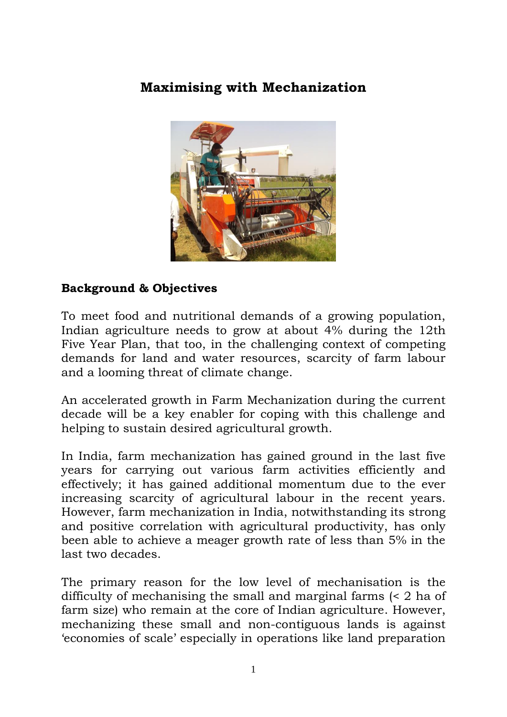# **Maximising with Mechanization**



#### **Background & Objectives**

To meet food and nutritional demands of a growing population, Indian agriculture needs to grow at about 4% during the 12th Five Year Plan, that too, in the challenging context of competing demands for land and water resources, scarcity of farm labour and a looming threat of climate change.

An accelerated growth in Farm Mechanization during the current decade will be a key enabler for coping with this challenge and helping to sustain desired agricultural growth.

In India, farm mechanization has gained ground in the last five years for carrying out various farm activities efficiently and effectively; it has gained additional momentum due to the ever increasing scarcity of agricultural labour in the recent years. However, farm mechanization in India, notwithstanding its strong and positive correlation with agricultural productivity, has only been able to achieve a meager growth rate of less than 5% in the last two decades.

The primary reason for the low level of mechanisation is the difficulty of mechanising the small and marginal farms (< 2 ha of farm size) who remain at the core of Indian agriculture. However, mechanizing these small and non-contiguous lands is against "economies of scale" especially in operations like land preparation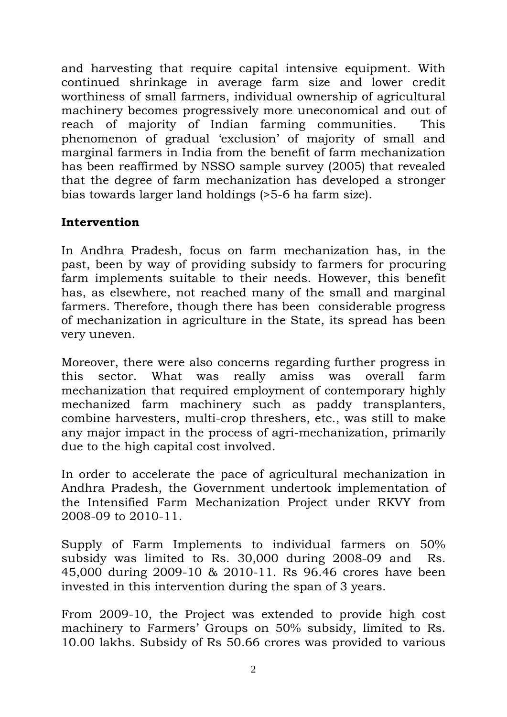and harvesting that require capital intensive equipment. With continued shrinkage in average farm size and lower credit worthiness of small farmers, individual ownership of agricultural machinery becomes progressively more uneconomical and out of reach of majority of Indian farming communities. This phenomenon of gradual "exclusion" of majority of small and marginal farmers in India from the benefit of farm mechanization has been reaffirmed by NSSO sample survey (2005) that revealed that the degree of farm mechanization has developed a stronger bias towards larger land holdings (>5-6 ha farm size).

### **Intervention**

In Andhra Pradesh, focus on farm mechanization has, in the past, been by way of providing subsidy to farmers for procuring farm implements suitable to their needs. However, this benefit has, as elsewhere, not reached many of the small and marginal farmers. Therefore, though there has been considerable progress of mechanization in agriculture in the State, its spread has been very uneven.

Moreover, there were also concerns regarding further progress in this sector. What was really amiss was overall farm mechanization that required employment of contemporary highly mechanized farm machinery such as paddy transplanters, combine harvesters, multi-crop threshers, etc., was still to make any major impact in the process of agri-mechanization, primarily due to the high capital cost involved.

In order to accelerate the pace of agricultural mechanization in Andhra Pradesh, the Government undertook implementation of the Intensified Farm Mechanization Project under RKVY from 2008-09 to 2010-11.

Supply of Farm Implements to individual farmers on 50% subsidy was limited to Rs. 30,000 during 2008-09 and Rs. 45,000 during 2009-10 & 2010-11. Rs 96.46 crores have been invested in this intervention during the span of 3 years.

From 2009-10, the Project was extended to provide high cost machinery to Farmers' Groups on 50% subsidy, limited to Rs. 10.00 lakhs. Subsidy of Rs 50.66 crores was provided to various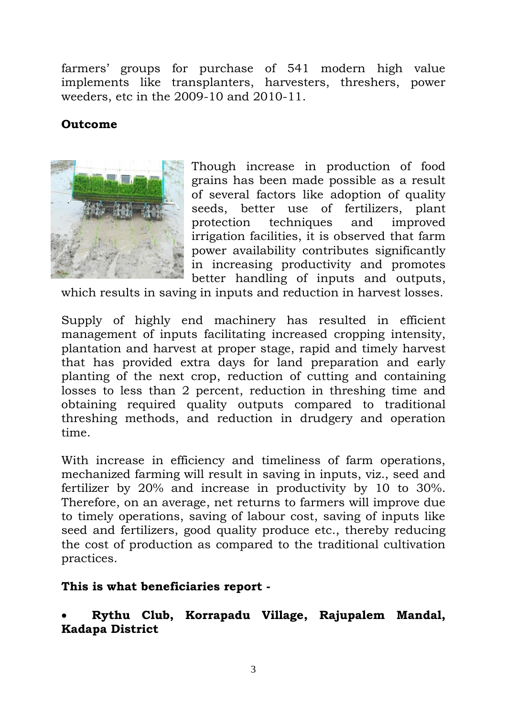farmers" groups for purchase of 541 modern high value implements like transplanters, harvesters, threshers, power weeders, etc in the 2009-10 and 2010-11.

#### **Outcome**



Though increase in production of food grains has been made possible as a result of several factors like adoption of quality seeds, better use of fertilizers, plant protection techniques and improved irrigation facilities, it is observed that farm power availability contributes significantly in increasing productivity and promotes better handling of inputs and outputs,

which results in saving in inputs and reduction in harvest losses.

Supply of highly end machinery has resulted in efficient management of inputs facilitating increased cropping intensity, plantation and harvest at proper stage, rapid and timely harvest that has provided extra days for land preparation and early planting of the next crop, reduction of cutting and containing losses to less than 2 percent, reduction in threshing time and obtaining required quality outputs compared to traditional threshing methods, and reduction in drudgery and operation time.

With increase in efficiency and timeliness of farm operations, mechanized farming will result in saving in inputs, viz., seed and fertilizer by 20% and increase in productivity by 10 to 30%. Therefore, on an average, net returns to farmers will improve due to timely operations, saving of labour cost, saving of inputs like seed and fertilizers, good quality produce etc., thereby reducing the cost of production as compared to the traditional cultivation practices.

#### **This is what beneficiaries report -**

 **Rythu Club, Korrapadu Village, Rajupalem Mandal, Kadapa District**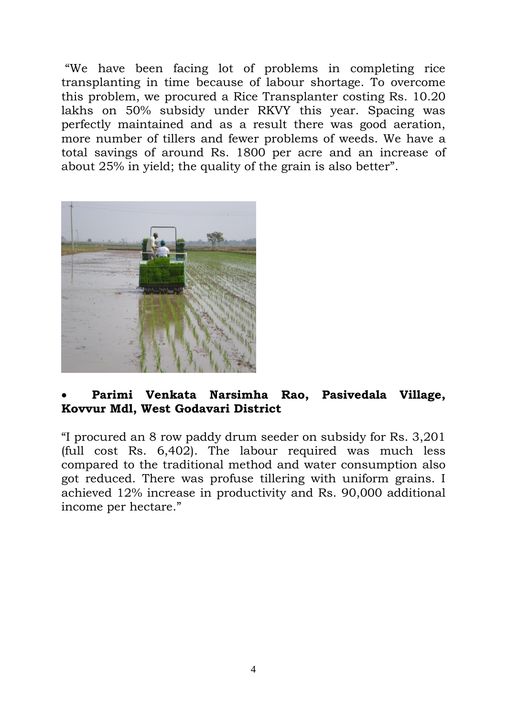"We have been facing lot of problems in completing rice transplanting in time because of labour shortage. To overcome this problem, we procured a Rice Transplanter costing Rs. 10.20 lakhs on 50% subsidy under RKVY this year. Spacing was perfectly maintained and as a result there was good aeration, more number of tillers and fewer problems of weeds. We have a total savings of around Rs. 1800 per acre and an increase of about 25% in yield; the quality of the grain is also better".



#### **Parimi Venkata Narsimha Rao, Pasivedala Village, Kovvur Mdl, West Godavari District**

"I procured an 8 row paddy drum seeder on subsidy for Rs. 3,201 (full cost Rs. 6,402). The labour required was much less compared to the traditional method and water consumption also got reduced. There was profuse tillering with uniform grains. I achieved 12% increase in productivity and Rs. 90,000 additional income per hectare."